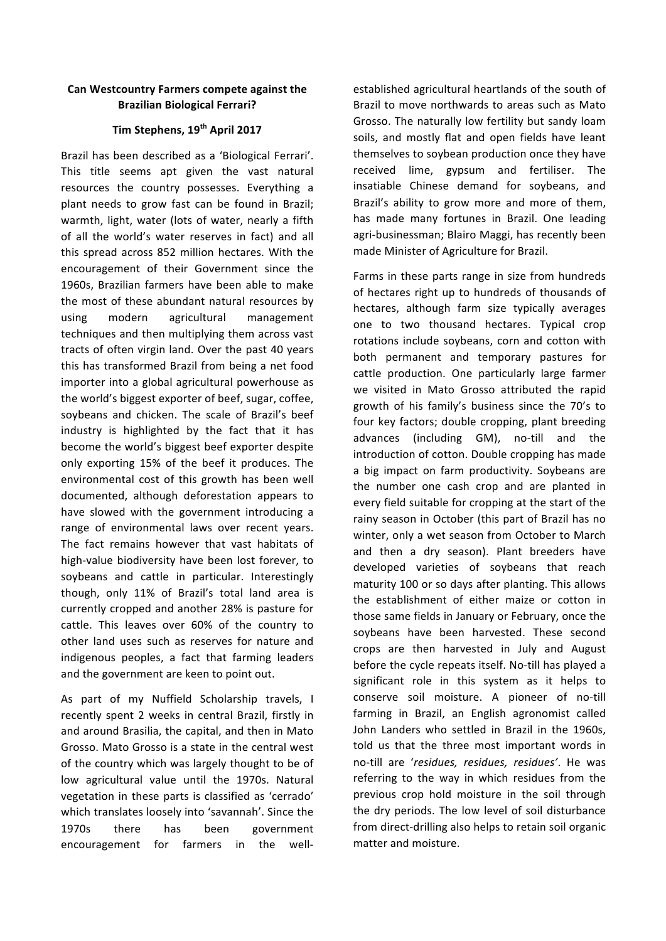## **Can Westcountry Farmers compete against the Brazilian Biological Ferrari?**

## **Tim Stephens, 19th April 2017**

Brazil has been described as a 'Biological Ferrari'. This title seems apt given the vast natural resources the country possesses. Everything a plant needs to grow fast can be found in Brazil; warmth, light, water (lots of water, nearly a fifth of all the world's water reserves in fact) and all this spread across 852 million hectares. With the encouragement of their Government since the 1960s, Brazilian farmers have been able to make the most of these abundant natural resources by using modern agricultural management techniques and then multiplying them across vast tracts of often virgin land. Over the past 40 years this has transformed Brazil from being a net food importer into a global agricultural powerhouse as the world's biggest exporter of beef, sugar, coffee, soybeans and chicken. The scale of Brazil's beef industry is highlighted by the fact that it has become the world's biggest beef exporter despite only exporting 15% of the beef it produces. The environmental cost of this growth has been well documented, although deforestation appears to have slowed with the government introducing a range of environmental laws over recent years. The fact remains however that vast habitats of high-value biodiversity have been lost forever, to soybeans and cattle in particular. Interestingly though, only 11% of Brazil's total land area is currently cropped and another 28% is pasture for cattle. This leaves over 60% of the country to other land uses such as reserves for nature and indigenous peoples, a fact that farming leaders and the government are keen to point out.

As part of my Nuffield Scholarship travels, I recently spent 2 weeks in central Brazil, firstly in and around Brasilia, the capital, and then in Mato Grosso. Mato Grosso is a state in the central west of the country which was largely thought to be of low agricultural value until the 1970s. Natural vegetation in these parts is classified as 'cerrado' which translates loosely into 'savannah'. Since the 1970s there has been government encouragement for farmers in the wellestablished agricultural heartlands of the south of Brazil to move northwards to areas such as Mato Grosso. The naturally low fertility but sandy loam soils, and mostly flat and open fields have leant themselves to soybean production once they have received lime, gypsum and fertiliser. The insatiable Chinese demand for soybeans, and Brazil's ability to grow more and more of them, has made many fortunes in Brazil. One leading agri-businessman; Blairo Maggi, has recently been made Minister of Agriculture for Brazil.

Farms in these parts range in size from hundreds of hectares right up to hundreds of thousands of hectares, although farm size typically averages one to two thousand hectares. Typical crop rotations include soybeans, corn and cotton with both permanent and temporary pastures for cattle production. One particularly large farmer we visited in Mato Grosso attributed the rapid growth of his family's business since the 70's to four key factors; double cropping, plant breeding advances (including GM), no-till and the introduction of cotton. Double cropping has made a big impact on farm productivity. Soybeans are the number one cash crop and are planted in every field suitable for cropping at the start of the rainy season in October (this part of Brazil has no winter, only a wet season from October to March and then a dry season). Plant breeders have developed varieties of soybeans that reach maturity 100 or so days after planting. This allows the establishment of either maize or cotton in those same fields in January or February, once the soybeans have been harvested. These second crops are then harvested in July and August before the cycle repeats itself. No-till has played a significant role in this system as it helps to conserve soil moisture. A pioneer of no-till farming in Brazil, an English agronomist called John Landers who settled in Brazil in the 1960s, told us that the three most important words in no-till are '*residues, residues, residues'*. He was referring to the way in which residues from the previous crop hold moisture in the soil through the dry periods. The low level of soil disturbance from direct-drilling also helps to retain soil organic matter and moisture.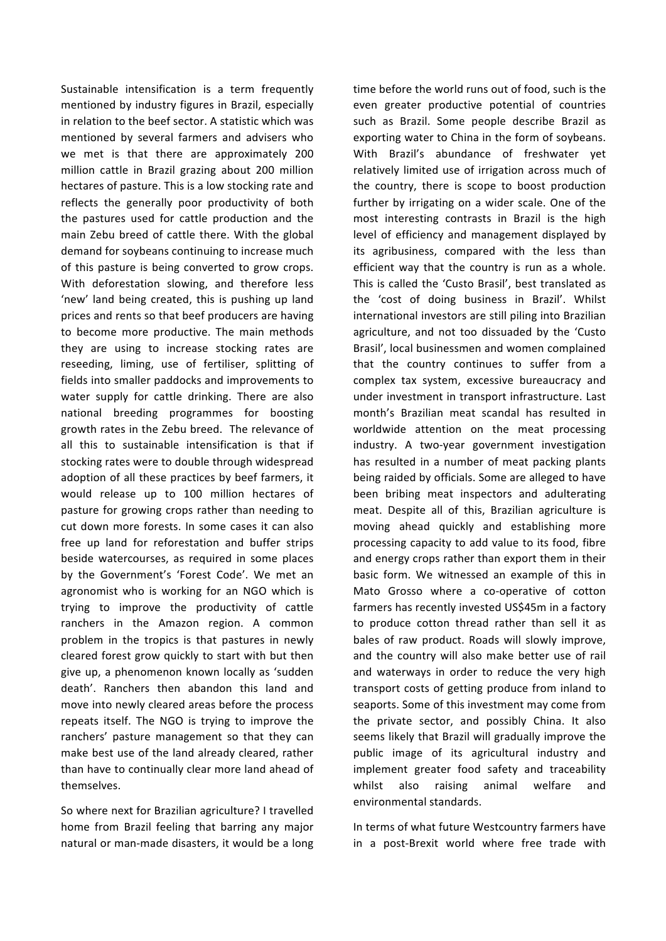Sustainable intensification is a term frequently mentioned by industry figures in Brazil, especially in relation to the beef sector. A statistic which was mentioned by several farmers and advisers who we met is that there are approximately 200 million cattle in Brazil grazing about 200 million hectares of pasture. This is a low stocking rate and reflects the generally poor productivity of both the pastures used for cattle production and the main Zebu breed of cattle there. With the global demand for soybeans continuing to increase much of this pasture is being converted to grow crops. With deforestation slowing, and therefore less 'new' land being created, this is pushing up land prices and rents so that beef producers are having to become more productive. The main methods they are using to increase stocking rates are reseeding, liming, use of fertiliser, splitting of fields into smaller paddocks and improvements to water supply for cattle drinking. There are also national breeding programmes for boosting growth rates in the Zebu breed. The relevance of all this to sustainable intensification is that if stocking rates were to double through widespread adoption of all these practices by beef farmers, it would release up to 100 million hectares of pasture for growing crops rather than needing to cut down more forests. In some cases it can also free up land for reforestation and buffer strips beside watercourses, as required in some places by the Government's 'Forest Code'. We met an agronomist who is working for an NGO which is trying to improve the productivity of cattle ranchers in the Amazon region. A common problem in the tropics is that pastures in newly cleared forest grow quickly to start with but then give up, a phenomenon known locally as 'sudden death'. Ranchers then abandon this land and move into newly cleared areas before the process repeats itself. The NGO is trying to improve the ranchers' pasture management so that they can make best use of the land already cleared, rather than have to continually clear more land ahead of themselves. 

So where next for Brazilian agriculture? I travelled home from Brazil feeling that barring any major natural or man-made disasters, it would be a long time before the world runs out of food, such is the even greater productive potential of countries such as Brazil. Some people describe Brazil as exporting water to China in the form of soybeans. With Brazil's abundance of freshwater vet relatively limited use of irrigation across much of the country, there is scope to boost production further by irrigating on a wider scale. One of the most interesting contrasts in Brazil is the high level of efficiency and management displayed by its agribusiness, compared with the less than efficient way that the country is run as a whole. This is called the 'Custo Brasil', best translated as the 'cost of doing business in Brazil'. Whilst international investors are still piling into Brazilian agriculture, and not too dissuaded by the 'Custo Brasil', local businessmen and women complained that the country continues to suffer from a complex tax system, excessive bureaucracy and under investment in transport infrastructure. Last month's Brazilian meat scandal has resulted in worldwide attention on the meat processing industry. A two-year government investigation has resulted in a number of meat packing plants being raided by officials. Some are alleged to have been bribing meat inspectors and adulterating meat. Despite all of this, Brazilian agriculture is moving ahead quickly and establishing more processing capacity to add value to its food, fibre and energy crops rather than export them in their basic form. We witnessed an example of this in Mato Grosso where a co-operative of cotton farmers has recently invested US\$45m in a factory to produce cotton thread rather than sell it as bales of raw product. Roads will slowly improve, and the country will also make better use of rail and waterways in order to reduce the very high transport costs of getting produce from inland to seaports. Some of this investment may come from the private sector, and possibly China. It also seems likely that Brazil will gradually improve the public image of its agricultural industry and implement greater food safety and traceability whilst also raising animal welfare and environmental standards.

In terms of what future Westcountry farmers have in a post-Brexit world where free trade with